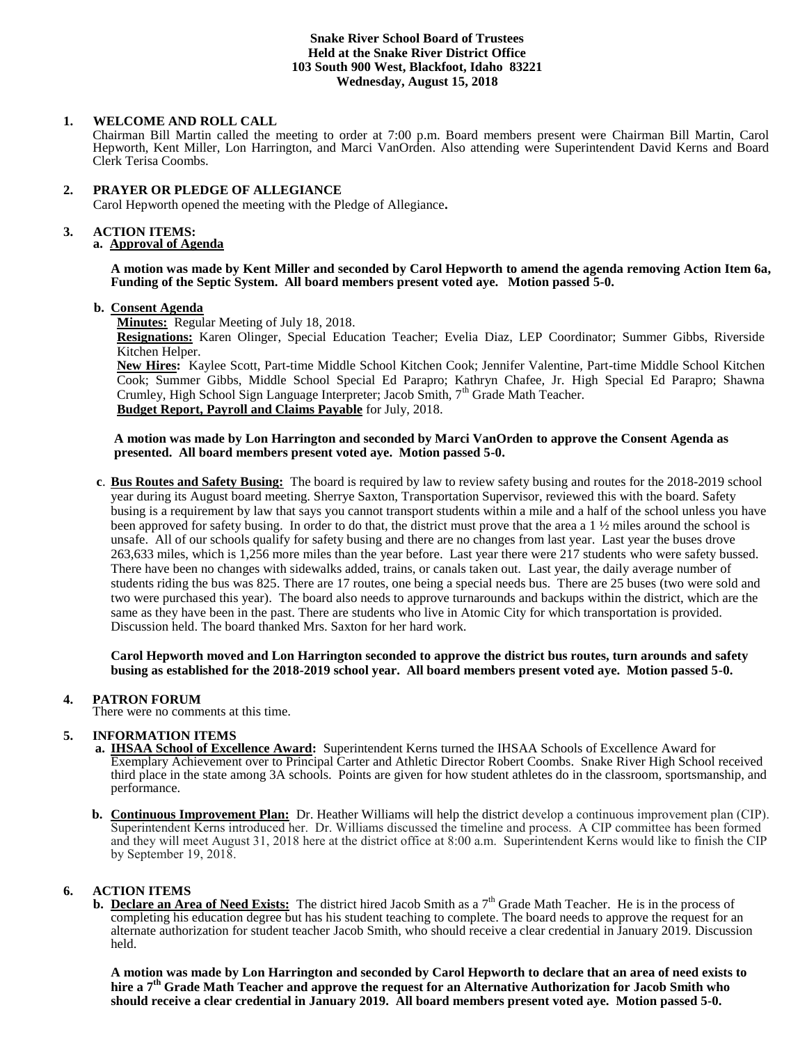#### **Snake River School Board of Trustees Held at the Snake River District Office 103 South 900 West, Blackfoot, Idaho 83221 Wednesday, August 15, 2018**

### **1. WELCOME AND ROLL CALL**

Chairman Bill Martin called the meeting to order at 7:00 p.m. Board members present were Chairman Bill Martin, Carol Hepworth, Kent Miller, Lon Harrington, and Marci VanOrden. Also attending were Superintendent David Kerns and Board Clerk Terisa Coombs.

## **2. PRAYER OR PLEDGE OF ALLEGIANCE**

Carol Hepworth opened the meeting with the Pledge of Allegiance**.** 

## **3. ACTION ITEMS:**

# **a. Approval of Agenda**

**A motion was made by Kent Miller and seconded by Carol Hepworth to amend the agenda removing Action Item 6a, Funding of the Septic System. All board members present voted aye. Motion passed 5-0.**

### **b. Consent Agenda**

**Minutes:** Regular Meeting of July 18, 2018.

**Resignations:** Karen Olinger, Special Education Teacher; Evelia Diaz, LEP Coordinator; Summer Gibbs, Riverside Kitchen Helper.

**New Hires:** Kaylee Scott, Part-time Middle School Kitchen Cook; Jennifer Valentine, Part-time Middle School Kitchen Cook; Summer Gibbs, Middle School Special Ed Parapro; Kathryn Chafee, Jr. High Special Ed Parapro; Shawna Crumley, High School Sign Language Interpreter; Jacob Smith, 7<sup>th</sup> Grade Math Teacher. **Budget Report, Payroll and Claims Payable** for July, 2018.

### **A motion was made by Lon Harrington and seconded by Marci VanOrden to approve the Consent Agenda as presented. All board members present voted aye. Motion passed 5-0.**

 **c**. **Bus Routes and Safety Busing:** The board is required by law to review safety busing and routes for the 2018-2019 school year during its August board meeting. Sherrye Saxton, Transportation Supervisor, reviewed this with the board. Safety busing is a requirement by law that says you cannot transport students within a mile and a half of the school unless you have been approved for safety busing. In order to do that, the district must prove that the area a 1 ½ miles around the school is unsafe. All of our schools qualify for safety busing and there are no changes from last year. Last year the buses drove 263,633 miles, which is 1,256 more miles than the year before. Last year there were 217 students who were safety bussed. There have been no changes with sidewalks added, trains, or canals taken out. Last year, the daily average number of students riding the bus was 825. There are 17 routes, one being a special needs bus. There are 25 buses (two were sold and two were purchased this year). The board also needs to approve turnarounds and backups within the district, which are the same as they have been in the past. There are students who live in Atomic City for which transportation is provided. Discussion held. The board thanked Mrs. Saxton for her hard work.

**Carol Hepworth moved and Lon Harrington seconded to approve the district bus routes, turn arounds and safety busing as established for the 2018-2019 school year. All board members present voted aye. Motion passed 5-0.**

### **4. PATRON FORUM**

There were no comments at this time.

### **5. INFORMATION ITEMS**

- **a. IHSAA School of Excellence Award:** Superintendent Kerns turned the IHSAA Schools of Excellence Award for Exemplary Achievement over to Principal Carter and Athletic Director Robert Coombs. Snake River High School received third place in the state among 3A schools. Points are given for how student athletes do in the classroom, sportsmanship, and performance.
- **b. Continuous Improvement Plan:** Dr. Heather Williams will help the district develop a continuous improvement plan (CIP). Superintendent Kerns introduced her. Dr. Williams discussed the timeline and process. A CIP committee has been formed and they will meet August 31, 2018 here at the district office at 8:00 a.m. Superintendent Kerns would like to finish the CIP by September 19, 2018.

# **6. ACTION ITEMS**

**b.** Declare an Area of Need Exists: The district hired Jacob Smith as a 7<sup>th</sup> Grade Math Teacher. He is in the process of completing his education degree but has his student teaching to complete. The board needs to approve the request for an alternate authorization for student teacher Jacob Smith, who should receive a clear credential in January 2019. Discussion held.

**A motion was made by Lon Harrington and seconded by Carol Hepworth to declare that an area of need exists to hire a 7 th Grade Math Teacher and approve the request for an Alternative Authorization for Jacob Smith who should receive a clear credential in January 2019. All board members present voted aye. Motion passed 5-0.**